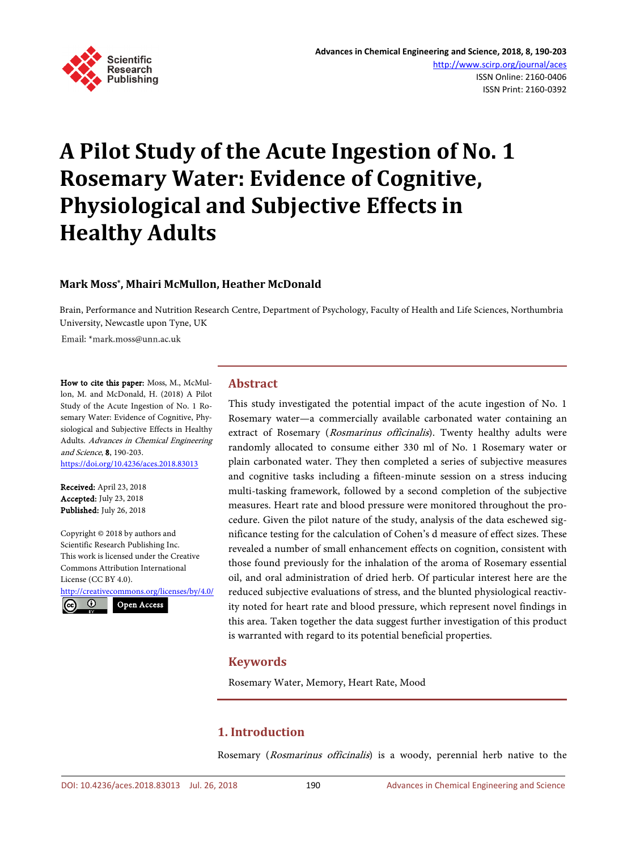

# **A Pilot Study of the Acute Ingestion of No. 1 Rosemary Water: Evidence of Cognitive, Physiological and Subjective Effects in Healthy Adults**

## **Mark Moss\*, Mhairi McMullon, Heather McDonald**

Brain, Performance and Nutrition Research Centre, Department of Psychology, Faculty of Health and Life Sciences, Northumbria University, Newcastle upon Tyne, UK

Email: \*mark.moss@unn.ac.uk

How to cite this paper: Moss, M., McMullon, M. and McDonald, H. (2018) A Pilot Study of the Acute Ingestion of No. 1 Rosemary Water: Evidence of Cognitive, Physiological and Subjective Effects in Healthy Adults. Advances in Chemical Engineering and Science, 8, 190-203. <https://doi.org/10.4236/aces.2018.83013>

Received: April 23, 2018 Accepted: July 23, 2018 Published: July 26, 2018

Copyright © 2018 by authors and Scientific Research Publishing Inc. This work is licensed under the Creative Commons Attribution International License (CC BY 4.0).

<http://creativecommons.org/licenses/by/4.0/> <u>ଟ</u>  $\odot$ Open Access

## **Abstract**

This study investigated the potential impact of the acute ingestion of No. 1 Rosemary water—a commercially available carbonated water containing an extract of Rosemary (Rosmarinus officinalis). Twenty healthy adults were randomly allocated to consume either 330 ml of No. 1 Rosemary water or plain carbonated water. They then completed a series of subjective measures and cognitive tasks including a fifteen-minute session on a stress inducing multi-tasking framework, followed by a second completion of the subjective measures. Heart rate and blood pressure were monitored throughout the procedure. Given the pilot nature of the study, analysis of the data eschewed significance testing for the calculation of Cohen's d measure of effect sizes. These revealed a number of small enhancement effects on cognition, consistent with those found previously for the inhalation of the aroma of Rosemary essential oil, and oral administration of dried herb. Of particular interest here are the reduced subjective evaluations of stress, and the blunted physiological reactivity noted for heart rate and blood pressure, which represent novel findings in this area. Taken together the data suggest further investigation of this product is warranted with regard to its potential beneficial properties.

## **Keywords**

Rosemary Water, Memory, Heart Rate, Mood

# **1. Introduction**

Rosemary (Rosmarinus officinalis) is a woody, perennial herb native to the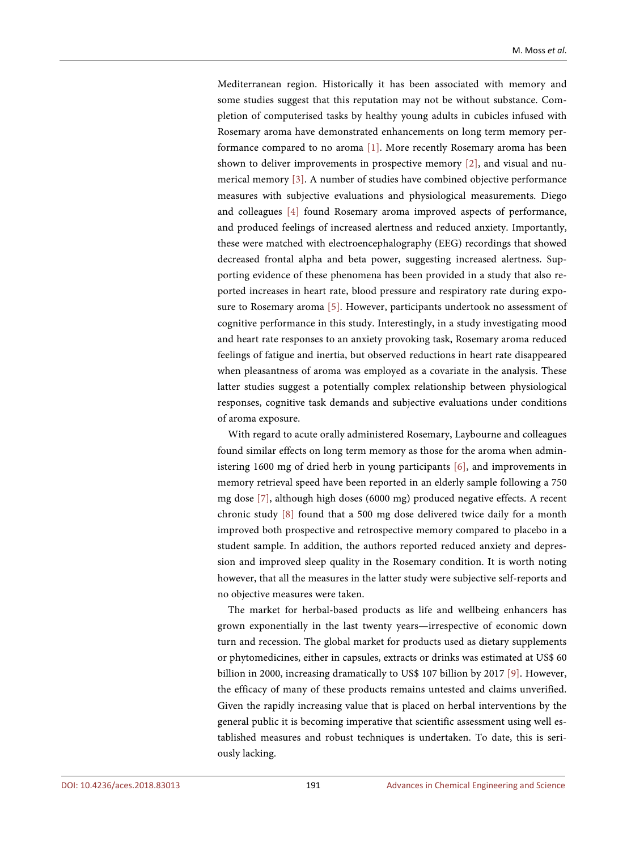Mediterranean region. Historically it has been associated with memory and some studies suggest that this reputation may not be without substance. Completion of computerised tasks by healthy young adults in cubicles infused with Rosemary aroma have demonstrated enhancements on long term memory performance compared to no aroma [\[1\].](#page-11-0) More recently Rosemary aroma has been shown to deliver improvements in prospective memory [\[2\],](#page-11-1) and visual and numerical memory [\[3\].](#page-11-2) A number of studies have combined objective performance measures with subjective evaluations and physiological measurements. Diego and colleagues [\[4\]](#page-11-3) found Rosemary aroma improved aspects of performance, and produced feelings of increased alertness and reduced anxiety. Importantly, these were matched with electroencephalography (EEG) recordings that showed decreased frontal alpha and beta power, suggesting increased alertness. Supporting evidence of these phenomena has been provided in a study that also reported increases in heart rate, blood pressure and respiratory rate during exposure to Rosemary aroma [\[5\].](#page-11-4) However, participants undertook no assessment of cognitive performance in this study. Interestingly, in a study investigating mood and heart rate responses to an anxiety provoking task, Rosemary aroma reduced feelings of fatigue and inertia, but observed reductions in heart rate disappeared when pleasantness of aroma was employed as a covariate in the analysis. These latter studies suggest a potentially complex relationship between physiological responses, cognitive task demands and subjective evaluations under conditions of aroma exposure.

With regard to acute orally administered Rosemary, Laybourne and colleagues found similar effects on long term memory as those for the aroma when administering 1600 mg of dried herb in young participants [\[6\],](#page-11-5) and improvements in memory retrieval speed have been reported in an elderly sample following a 750 mg dose [\[7\],](#page-11-6) although high doses (6000 mg) produced negative effects. A recent chronic study [\[8\]](#page-12-0) found that a 500 mg dose delivered twice daily for a month improved both prospective and retrospective memory compared to placebo in a student sample. In addition, the authors reported reduced anxiety and depression and improved sleep quality in the Rosemary condition. It is worth noting however, that all the measures in the latter study were subjective self-reports and no objective measures were taken.

The market for herbal-based products as life and wellbeing enhancers has grown exponentially in the last twenty years—irrespective of economic down turn and recession. The global market for products used as dietary supplements or phytomedicines, either in capsules, extracts or drinks was estimated at US\$ 60 billion in 2000, increasing dramatically to US\$ 107 billion by 2017 [\[9\].](#page-12-1) However, the efficacy of many of these products remains untested and claims unverified. Given the rapidly increasing value that is placed on herbal interventions by the general public it is becoming imperative that scientific assessment using well established measures and robust techniques is undertaken. To date, this is seriously lacking.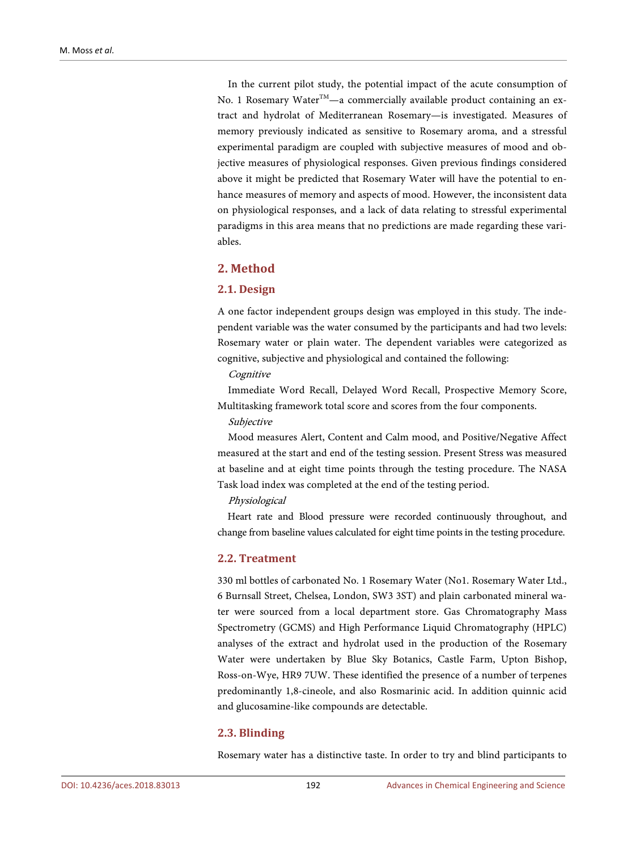In the current pilot study, the potential impact of the acute consumption of No. 1 Rosemary Water<sup>TM</sup>—a commercially available product containing an extract and hydrolat of Mediterranean Rosemary—is investigated. Measures of memory previously indicated as sensitive to Rosemary aroma, and a stressful experimental paradigm are coupled with subjective measures of mood and objective measures of physiological responses. Given previous findings considered above it might be predicted that Rosemary Water will have the potential to enhance measures of memory and aspects of mood. However, the inconsistent data on physiological responses, and a lack of data relating to stressful experimental paradigms in this area means that no predictions are made regarding these variables.

# **2. Method**

## **2.1. Design**

A one factor independent groups design was employed in this study. The independent variable was the water consumed by the participants and had two levels: Rosemary water or plain water. The dependent variables were categorized as cognitive, subjective and physiological and contained the following:

## **Cognitive**

Immediate Word Recall, Delayed Word Recall, Prospective Memory Score, Multitasking framework total score and scores from the four components.

#### Subjective

Mood measures Alert, Content and Calm mood, and Positive/Negative Affect measured at the start and end of the testing session. Present Stress was measured at baseline and at eight time points through the testing procedure. The NASA Task load index was completed at the end of the testing period.

#### Physiological

Heart rate and Blood pressure were recorded continuously throughout, and change from baseline values calculated for eight time points in the testing procedure.

## **2.2. Treatment**

330 ml bottles of carbonated No. 1 Rosemary Water (No1. Rosemary Water Ltd., 6 Burnsall Street, Chelsea, London, SW3 3ST) and plain carbonated mineral water were sourced from a local department store. Gas Chromatography Mass Spectrometry (GCMS) and High Performance Liquid Chromatography (HPLC) analyses of the extract and hydrolat used in the production of the Rosemary Water were undertaken by Blue Sky Botanics, Castle Farm, Upton Bishop, Ross-on-Wye, HR9 7UW. These identified the presence of a number of terpenes predominantly 1,8-cineole, and also Rosmarinic acid. In addition quinnic acid and glucosamine-like compounds are detectable.

## **2.3. Blinding**

Rosemary water has a distinctive taste. In order to try and blind participants to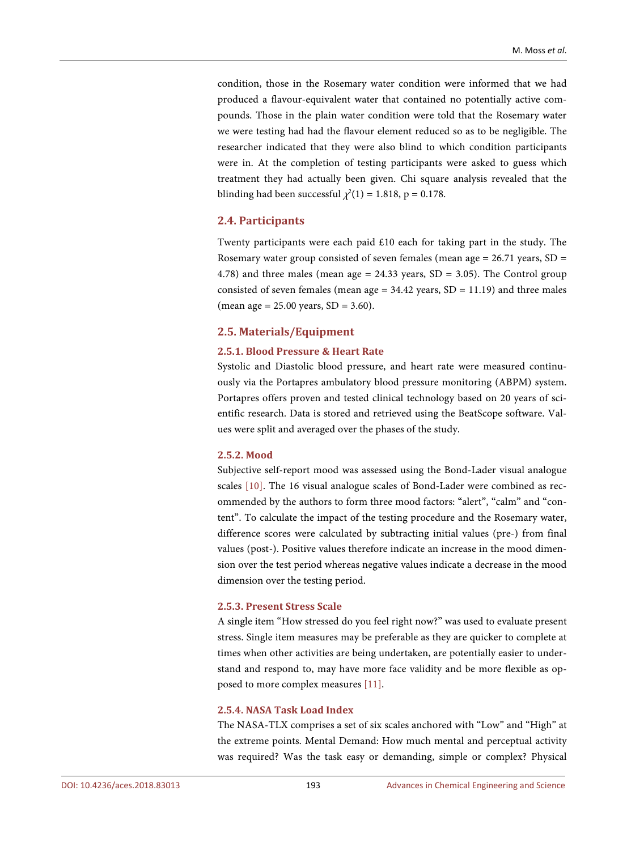condition, those in the Rosemary water condition were informed that we had produced a flavour-equivalent water that contained no potentially active compounds. Those in the plain water condition were told that the Rosemary water we were testing had had the flavour element reduced so as to be negligible. The researcher indicated that they were also blind to which condition participants were in. At the completion of testing participants were asked to guess which treatment they had actually been given. Chi square analysis revealed that the blinding had been successful  $\chi^2(1) = 1.818$ , p = 0.178.

## **2.4. Participants**

Twenty participants were each paid £10 each for taking part in the study. The Rosemary water group consisted of seven females (mean age  $= 26.71$  years, SD  $=$ 4.78) and three males (mean age = 24.33 years,  $SD = 3.05$ ). The Control group consisted of seven females (mean age =  $34.42$  years, SD = 11.19) and three males (mean age =  $25.00$  years,  $SD = 3.60$ ).

#### **2.5. Materials/Equipment**

#### **2.5.1. Blood Pressure & Heart Rate**

Systolic and Diastolic blood pressure, and heart rate were measured continuously via the Portapres ambulatory blood pressure monitoring (ABPM) system. Portapres offers proven and tested clinical technology based on 20 years of scientific research. Data is stored and retrieved using the BeatScope software. Values were split and averaged over the phases of the study.

#### **2.5.2. Mood**

Subjective self-report mood was assessed using the Bond-Lader visual analogue scales [\[10\].](#page-12-2) The 16 visual analogue scales of Bond-Lader were combined as recommended by the authors to form three mood factors: "alert", "calm" and "content". To calculate the impact of the testing procedure and the Rosemary water, difference scores were calculated by subtracting initial values (pre-) from final values (post-). Positive values therefore indicate an increase in the mood dimension over the test period whereas negative values indicate a decrease in the mood dimension over the testing period.

#### **2.5.3. Present Stress Scale**

A single item "How stressed do you feel right now?" was used to evaluate present stress. Single item measures may be preferable as they are quicker to complete at times when other activities are being undertaken, are potentially easier to understand and respond to, may have more face validity and be more flexible as opposed to more complex measures [\[11\].](#page-12-3)

## **2.5.4. NASA Task Load Index**

The NASA-TLX comprises a set of six scales anchored with "Low" and "High" at the extreme points. Mental Demand: How much mental and perceptual activity was required? Was the task easy or demanding, simple or complex? Physical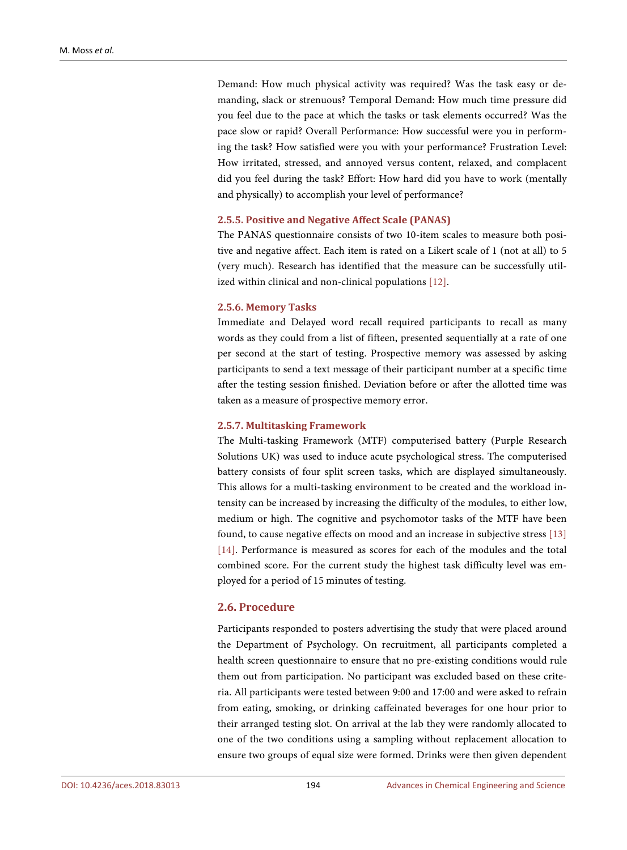Demand: How much physical activity was required? Was the task easy or demanding, slack or strenuous? Temporal Demand: How much time pressure did you feel due to the pace at which the tasks or task elements occurred? Was the pace slow or rapid? Overall Performance: How successful were you in performing the task? How satisfied were you with your performance? Frustration Level: How irritated, stressed, and annoyed versus content, relaxed, and complacent did you feel during the task? Effort: How hard did you have to work (mentally and physically) to accomplish your level of performance?

## **2.5.5. Positive and Negative Affect Scale (PANAS)**

The PANAS questionnaire consists of two 10-item scales to measure both positive and negative affect. Each item is rated on a Likert scale of 1 (not at all) to 5 (very much). Research has identified that the measure can be successfully utilized within clinical and non-clinical populations [\[12\].](#page-12-4)

## **2.5.6. Memory Tasks**

Immediate and Delayed word recall required participants to recall as many words as they could from a list of fifteen, presented sequentially at a rate of one per second at the start of testing. Prospective memory was assessed by asking participants to send a text message of their participant number at a specific time after the testing session finished. Deviation before or after the allotted time was taken as a measure of prospective memory error.

#### **2.5.7. Multitasking Framework**

The Multi-tasking Framework (MTF) computerised battery (Purple Research Solutions UK) was used to induce acute psychological stress. The computerised battery consists of four split screen tasks, which are displayed simultaneously. This allows for a multi-tasking environment to be created and the workload intensity can be increased by increasing the difficulty of the modules, to either low, medium or high. The cognitive and psychomotor tasks of the MTF have been found, to cause negative effects on mood and an increase in subjective stress [\[13\]](#page-12-5) [\[14\].](#page-12-6) Performance is measured as scores for each of the modules and the total combined score. For the current study the highest task difficulty level was employed for a period of 15 minutes of testing.

## **2.6. Procedure**

Participants responded to posters advertising the study that were placed around the Department of Psychology. On recruitment, all participants completed a health screen questionnaire to ensure that no pre-existing conditions would rule them out from participation. No participant was excluded based on these criteria. All participants were tested between 9:00 and 17:00 and were asked to refrain from eating, smoking, or drinking caffeinated beverages for one hour prior to their arranged testing slot. On arrival at the lab they were randomly allocated to one of the two conditions using a sampling without replacement allocation to ensure two groups of equal size were formed. Drinks were then given dependent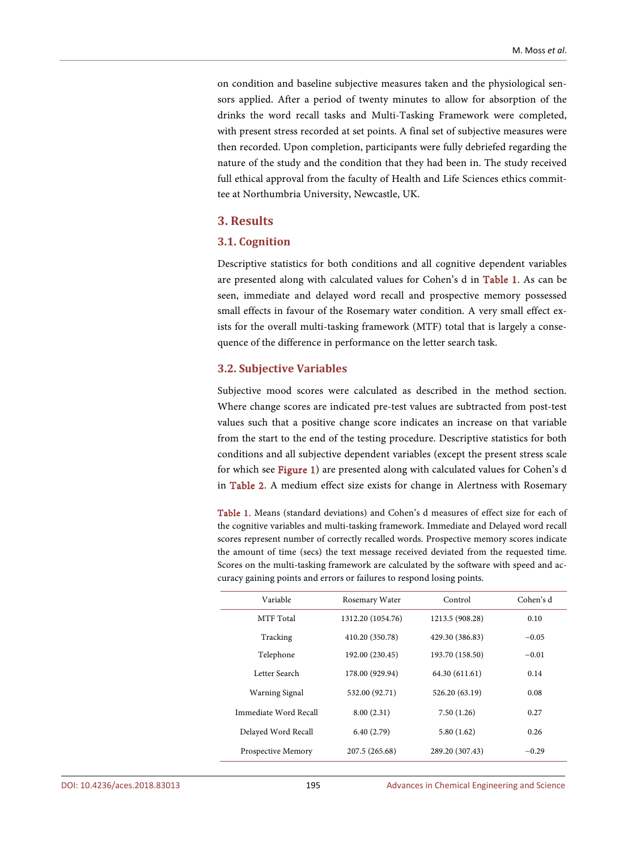on condition and baseline subjective measures taken and the physiological sensors applied. After a period of twenty minutes to allow for absorption of the drinks the word recall tasks and Multi-Tasking Framework were completed, with present stress recorded at set points. A final set of subjective measures were then recorded. Upon completion, participants were fully debriefed regarding the nature of the study and the condition that they had been in. The study received full ethical approval from the faculty of Health and Life Sciences ethics committee at Northumbria University, Newcastle, UK.

## **3. Results**

## **3.1. Cognition**

Descriptive statistics for both conditions and all cognitive dependent variables are presented along with calculated values for Cohen's d in [Table 1.](#page-5-0) As can be seen, immediate and delayed word recall and prospective memory possessed small effects in favour of the Rosemary water condition. A very small effect exists for the overall multi-tasking framework (MTF) total that is largely a consequence of the difference in performance on the letter search task.

## **3.2. Subjective Variables**

Subjective mood scores were calculated as described in the method section. Where change scores are indicated pre-test values are subtracted from post-test values such that a positive change score indicates an increase on that variable from the start to the end of the testing procedure. Descriptive statistics for both conditions and all subjective dependent variables (except the present stress scale for which see [Figure 1\)](#page-6-0) are presented along with calculated values for Cohen's d in [Table 2.](#page-6-1) A medium effect size exists for change in Alertness with Rosemary

<span id="page-5-0"></span>Table 1. Means (standard deviations) and Cohen's d measures of effect size for each of the cognitive variables and multi-tasking framework. Immediate and Delayed word recall scores represent number of correctly recalled words. Prospective memory scores indicate the amount of time (secs) the text message received deviated from the requested time. Scores on the multi-tasking framework are calculated by the software with speed and accuracy gaining points and errors or failures to respond losing points.

| Variable                  | Rosemary Water    | Control         | Cohen's d |
|---------------------------|-------------------|-----------------|-----------|
| MTF Total                 | 1312.20 (1054.76) | 1213.5 (908.28) | 0.10      |
| Tracking                  | 410.20 (350.78)   | 429.30 (386.83) | $-0.05$   |
| Telephone                 | 192.00 (230.45)   | 193.70 (158.50) | $-0.01$   |
| Letter Search             | 178.00 (929.94)   | 64.30 (611.61)  | 0.14      |
| Warning Signal            | 532.00 (92.71)    | 526.20 (63.19)  | 0.08      |
| Immediate Word Recall     | 8.00(2.31)        | 7.50(1.26)      | 0.27      |
| Delayed Word Recall       | 6.40(2.79)        | 5.80(1.62)      | 0.26      |
| <b>Prospective Memory</b> | 207.5 (265.68)    | 289.20 (307.43) | $-0.29$   |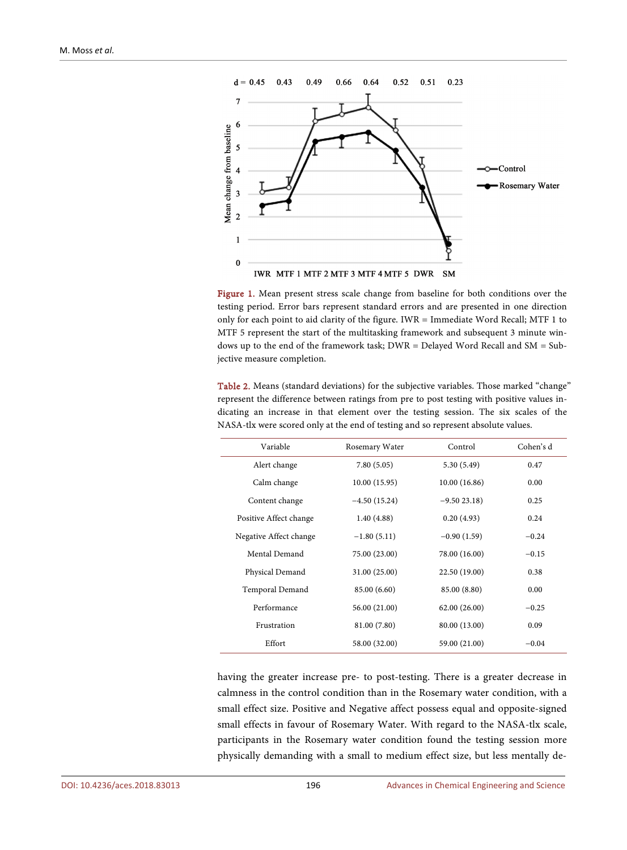<span id="page-6-0"></span>

Figure 1. Mean present stress scale change from baseline for both conditions over the testing period. Error bars represent standard errors and are presented in one direction only for each point to aid clarity of the figure. IWR = Immediate Word Recall; MTF 1 to MTF 5 represent the start of the multitasking framework and subsequent 3 minute windows up to the end of the framework task; DWR = Delayed Word Recall and SM = Subjective measure completion.

| Variable               | Rosemary Water | Control       | Cohen's d |  |
|------------------------|----------------|---------------|-----------|--|
| Alert change           | 7.80(5.05)     | 5.30(5.49)    | 0.47      |  |
| Calm change            | 10.00(15.95)   | 10.00 (16.86) | 0.00      |  |
| Content change         | $-4.50(15.24)$ | $-9.5023.18$  | 0.25      |  |
| Positive Affect change | 1.40(4.88)     | 0.20(4.93)    | 0.24      |  |
| Negative Affect change | $-1.80(5.11)$  | $-0.90(1.59)$ | $-0.24$   |  |
| Mental Demand          | 75.00 (23.00)  | 78.00 (16.00) | $-0.15$   |  |
| Physical Demand        | 31.00 (25.00)  | 22.50 (19.00) | 0.38      |  |
| Temporal Demand        | 85.00 (6.60)   | 85.00 (8.80)  | 0.00      |  |
| Performance            | 56.00 (21.00)  | 62.00(26.00)  | $-0.25$   |  |
| Frustration            | 81.00 (7.80)   | 80.00 (13.00) | 0.09      |  |
| Effort                 | 58.00 (32.00)  | 59.00 (21.00) | $-0.04$   |  |

<span id="page-6-1"></span>Table 2. Means (standard deviations) for the subjective variables. Those marked "change" represent the difference between ratings from pre to post testing with positive values indicating an increase in that element over the testing session. The six scales of the NASA-tlx were scored only at the end of testing and so represent absolute values.

having the greater increase pre- to post-testing. There is a greater decrease in calmness in the control condition than in the Rosemary water condition, with a small effect size. Positive and Negative affect possess equal and opposite-signed small effects in favour of Rosemary Water. With regard to the NASA-tlx scale, participants in the Rosemary water condition found the testing session more physically demanding with a small to medium effect size, but less mentally de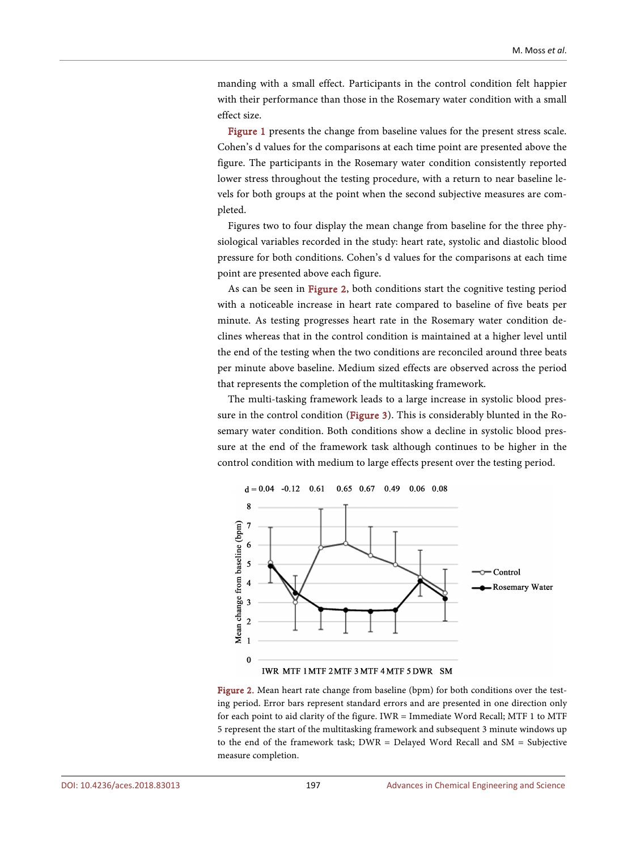manding with a small effect. Participants in the control condition felt happier with their performance than those in the Rosemary water condition with a small effect size.

[Figure 1](#page-6-0) presents the change from baseline values for the present stress scale. Cohen's d values for the comparisons at each time point are presented above the figure. The participants in the Rosemary water condition consistently reported lower stress throughout the testing procedure, with a return to near baseline levels for both groups at the point when the second subjective measures are completed.

Figures two to four display the mean change from baseline for the three physiological variables recorded in the study: heart rate, systolic and diastolic blood pressure for both conditions. Cohen's d values for the comparisons at each time point are presented above each figure.

As can be seen in [Figure 2,](#page-7-0) both conditions start the cognitive testing period with a noticeable increase in heart rate compared to baseline of five beats per minute. As testing progresses heart rate in the Rosemary water condition declines whereas that in the control condition is maintained at a higher level until the end of the testing when the two conditions are reconciled around three beats per minute above baseline. Medium sized effects are observed across the period that represents the completion of the multitasking framework.

The multi-tasking framework leads to a large increase in systolic blood pres-sure in the control condition [\(Figure 3\)](#page-8-0). This is considerably blunted in the Rosemary water condition. Both conditions show a decline in systolic blood pressure at the end of the framework task although continues to be higher in the control condition with medium to large effects present over the testing period.

<span id="page-7-0"></span>

Figure 2. Mean heart rate change from baseline (bpm) for both conditions over the testing period. Error bars represent standard errors and are presented in one direction only for each point to aid clarity of the figure. IWR = Immediate Word Recall; MTF 1 to MTF 5 represent the start of the multitasking framework and subsequent 3 minute windows up to the end of the framework task; DWR = Delayed Word Recall and SM = Subjective measure completion.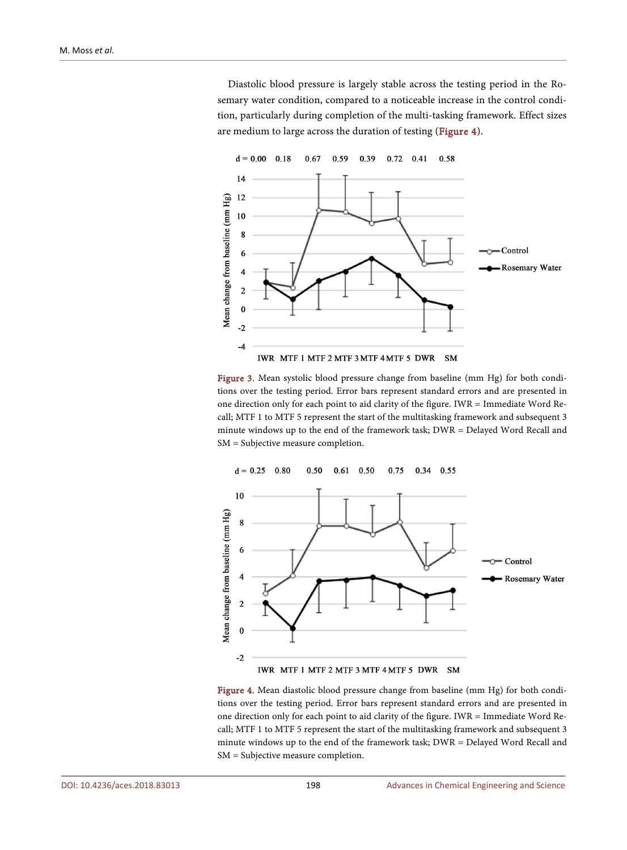Diastolic blood pressure is largely stable across the testing period in the Rosemary water condition, compared to a noticeable increase in the control condition, particularly during completion of the multi-tasking framework. Effect sizes are medium to large across the duration of testing [\(Figure 4\)](#page-8-1).

<span id="page-8-0"></span>

Figure 3. Mean systolic blood pressure change from baseline (mm Hg) for both conditions over the testing period. Error bars represent standard errors and are presented in one direction only for each point to aid clarity of the figure. IWR = Immediate Word Recall; MTF 1 to MTF 5 represent the start of the multitasking framework and subsequent 3 minute windows up to the end of the framework task; DWR = Delayed Word Recall and SM = Subjective measure completion.

<span id="page-8-1"></span>

Figure 4. Mean diastolic blood pressure change from baseline (mm Hg) for both conditions over the testing period. Error bars represent standard errors and are presented in one direction only for each point to aid clarity of the figure. IWR = Immediate Word Recall; MTF 1 to MTF 5 represent the start of the multitasking framework and subsequent 3 minute windows up to the end of the framework task; DWR = Delayed Word Recall and SM = Subjective measure completion.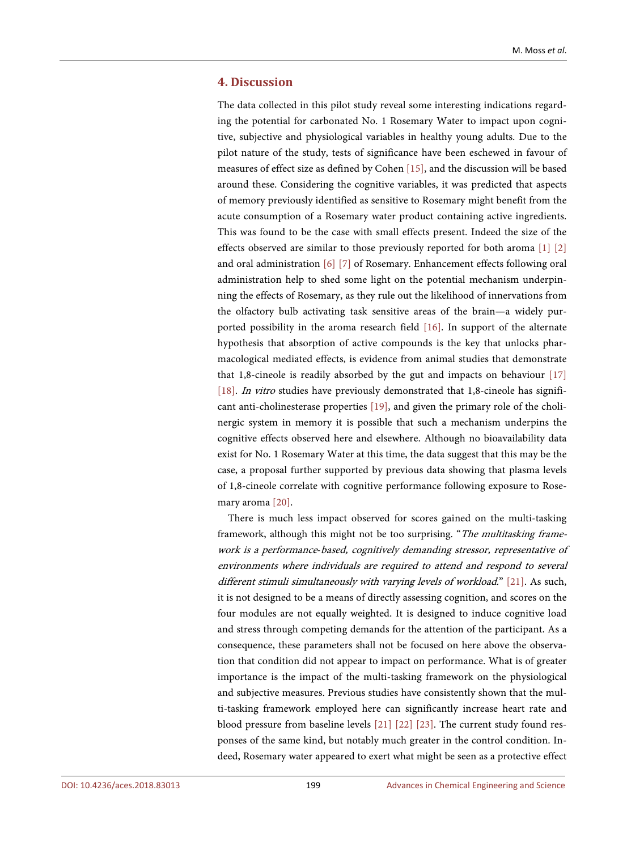## **4. Discussion**

The data collected in this pilot study reveal some interesting indications regarding the potential for carbonated No. 1 Rosemary Water to impact upon cognitive, subjective and physiological variables in healthy young adults. Due to the pilot nature of the study, tests of significance have been eschewed in favour of measures of effect size as defined by Cohen [\[15\],](#page-12-7) and the discussion will be based around these. Considering the cognitive variables, it was predicted that aspects of memory previously identified as sensitive to Rosemary might benefit from the acute consumption of a Rosemary water product containing active ingredients. This was found to be the case with small effects present. Indeed the size of the effects observed are similar to those previously reported for both aroma [\[1\]](#page-11-0) [\[2\]](#page-11-1) and oral administration [\[6\]](#page-11-5) [\[7\]](#page-11-6) of Rosemary. Enhancement effects following oral administration help to shed some light on the potential mechanism underpinning the effects of Rosemary, as they rule out the likelihood of innervations from the olfactory bulb activating task sensitive areas of the brain—a widely purported possibility in the aroma research field [\[16\].](#page-12-8) In support of the alternate hypothesis that absorption of active compounds is the key that unlocks pharmacological mediated effects, is evidence from animal studies that demonstrate that 1,8-cineole is readily absorbed by the gut and impacts on behaviour [\[17\]](#page-12-9) [\[18\].](#page-12-10) In vitro studies have previously demonstrated that 1,8-cineole has significant anti-cholinesterase properties [\[19\],](#page-12-11) and given the primary role of the cholinergic system in memory it is possible that such a mechanism underpins the cognitive effects observed here and elsewhere. Although no bioavailability data exist for No. 1 Rosemary Water at this time, the data suggest that this may be the case, a proposal further supported by previous data showing that plasma levels of 1,8-cineole correlate with cognitive performance following exposure to Rosemary aroma [\[20\].](#page-12-12)

There is much less impact observed for scores gained on the multi-tasking framework, although this might not be too surprising. "The multitasking framework is a performance-based, cognitively demanding stressor, representative of environments where individuals are required to attend and respond to several different stimuli simultaneously with varying levels of workload." [\[21\].](#page-12-13) As such, it is not designed to be a means of directly assessing cognition, and scores on the four modules are not equally weighted. It is designed to induce cognitive load and stress through competing demands for the attention of the participant. As a consequence, these parameters shall not be focused on here above the observation that condition did not appear to impact on performance. What is of greater importance is the impact of the multi-tasking framework on the physiological and subjective measures. Previous studies have consistently shown that the multi-tasking framework employed here can significantly increase heart rate and blood pressure from baseline levels [\[21\]](#page-12-13) [\[22\]](#page-12-14) [\[23\].](#page-13-0) The current study found responses of the same kind, but notably much greater in the control condition. Indeed, Rosemary water appeared to exert what might be seen as a protective effect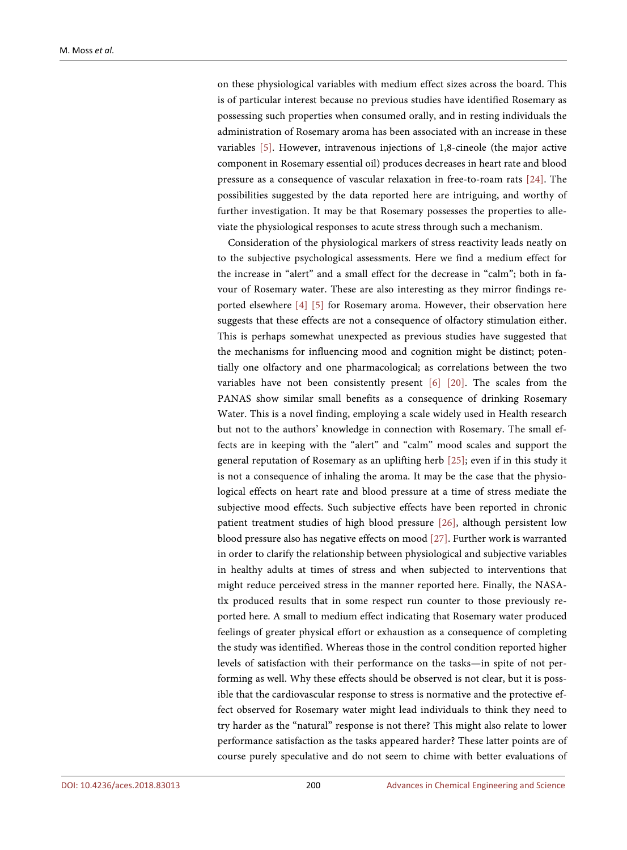on these physiological variables with medium effect sizes across the board. This is of particular interest because no previous studies have identified Rosemary as possessing such properties when consumed orally, and in resting individuals the administration of Rosemary aroma has been associated with an increase in these variables [\[5\].](#page-11-4) However, intravenous injections of 1,8-cineole (the major active component in Rosemary essential oil) produces decreases in heart rate and blood pressure as a consequence of vascular relaxation in free-to-roam rats [\[24\].](#page-13-1) The possibilities suggested by the data reported here are intriguing, and worthy of further investigation. It may be that Rosemary possesses the properties to alleviate the physiological responses to acute stress through such a mechanism.

Consideration of the physiological markers of stress reactivity leads neatly on to the subjective psychological assessments. Here we find a medium effect for the increase in "alert" and a small effect for the decrease in "calm"; both in favour of Rosemary water. These are also interesting as they mirror findings reported elsewhere [\[4\]](#page-11-3) [\[5\]](#page-11-4) for Rosemary aroma. However, their observation here suggests that these effects are not a consequence of olfactory stimulation either. This is perhaps somewhat unexpected as previous studies have suggested that the mechanisms for influencing mood and cognition might be distinct; potentially one olfactory and one pharmacological; as correlations between the two variables have not been consistently present [\[6\]](#page-11-5) [\[20\].](#page-12-12) The scales from the PANAS show similar small benefits as a consequence of drinking Rosemary Water. This is a novel finding, employing a scale widely used in Health research but not to the authors' knowledge in connection with Rosemary. The small effects are in keeping with the "alert" and "calm" mood scales and support the general reputation of Rosemary as an uplifting herb [\[25\];](#page-13-2) even if in this study it is not a consequence of inhaling the aroma. It may be the case that the physiological effects on heart rate and blood pressure at a time of stress mediate the subjective mood effects. Such subjective effects have been reported in chronic patient treatment studies of high blood pressure [\[26\],](#page-13-3) although persistent low blood pressure also has negative effects on mood [\[27\].](#page-13-4) Further work is warranted in order to clarify the relationship between physiological and subjective variables in healthy adults at times of stress and when subjected to interventions that might reduce perceived stress in the manner reported here. Finally, the NASAtlx produced results that in some respect run counter to those previously reported here. A small to medium effect indicating that Rosemary water produced feelings of greater physical effort or exhaustion as a consequence of completing the study was identified. Whereas those in the control condition reported higher levels of satisfaction with their performance on the tasks—in spite of not performing as well. Why these effects should be observed is not clear, but it is possible that the cardiovascular response to stress is normative and the protective effect observed for Rosemary water might lead individuals to think they need to try harder as the "natural" response is not there? This might also relate to lower performance satisfaction as the tasks appeared harder? These latter points are of course purely speculative and do not seem to chime with better evaluations of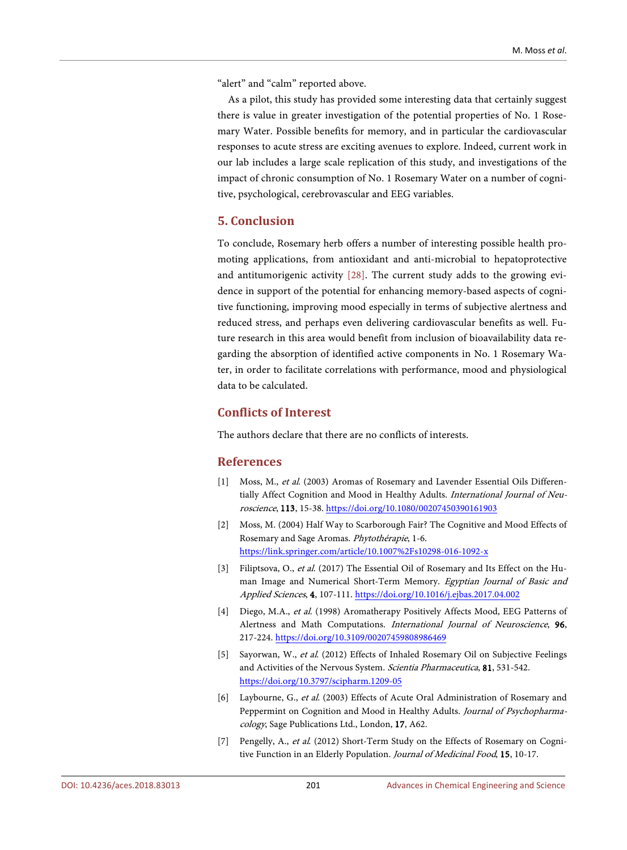"alert" and "calm" reported above.

As a pilot, this study has provided some interesting data that certainly suggest there is value in greater investigation of the potential properties of No. 1 Rosemary Water. Possible benefits for memory, and in particular the cardiovascular responses to acute stress are exciting avenues to explore. Indeed, current work in our lab includes a large scale replication of this study, and investigations of the impact of chronic consumption of No. 1 Rosemary Water on a number of cognitive, psychological, cerebrovascular and EEG variables.

# **5. Conclusion**

To conclude, Rosemary herb offers a number of interesting possible health promoting applications, from antioxidant and anti-microbial to hepatoprotective and antitumorigenic activity [\[28\].](#page-13-5) The current study adds to the growing evidence in support of the potential for enhancing memory-based aspects of cognitive functioning, improving mood especially in terms of subjective alertness and reduced stress, and perhaps even delivering cardiovascular benefits as well. Future research in this area would benefit from inclusion of bioavailability data regarding the absorption of identified active components in No. 1 Rosemary Water, in order to facilitate correlations with performance, mood and physiological data to be calculated.

# **Conflicts of Interest**

The authors declare that there are no conflicts of interests.

## **References**

- <span id="page-11-0"></span>[1] Moss, M., et al. (2003) Aromas of Rosemary and Lavender Essential Oils Differentially Affect Cognition and Mood in Healthy Adults. International Journal of Neuroscience, 113, 15-38. <https://doi.org/10.1080/00207450390161903>
- <span id="page-11-1"></span>[2] Moss, M. (2004) Half Way to Scarborough Fair? The Cognitive and Mood Effects of Rosemary and Sage Aromas. Phytothérapie, 1-6. <https://link.springer.com/article/10.1007%2Fs10298-016-1092-x>
- <span id="page-11-2"></span>[3] Filiptsova, O., et al. (2017) The Essential Oil of Rosemary and Its Effect on the Human Image and Numerical Short-Term Memory. Egyptian Journal of Basic and Applied Sciences, 4, 107-111. <https://doi.org/10.1016/j.ejbas.2017.04.002>
- <span id="page-11-3"></span>[4] Diego, M.A., et al. (1998) Aromatherapy Positively Affects Mood, EEG Patterns of Alertness and Math Computations. International Journal of Neuroscience, 96, 217-224. <https://doi.org/10.3109/00207459808986469>
- <span id="page-11-4"></span>[5] Sayorwan, W., et al. (2012) Effects of Inhaled Rosemary Oil on Subjective Feelings and Activities of the Nervous System. Scientia Pharmaceutica, 81, 531-542. <https://doi.org/10.3797/scipharm.1209-05>
- <span id="page-11-5"></span>[6] Laybourne, G., et al. (2003) Effects of Acute Oral Administration of Rosemary and Peppermint on Cognition and Mood in Healthy Adults. Journal of Psychopharmacology, Sage Publications Ltd., London, 17, A62.
- <span id="page-11-6"></span>[7] Pengelly, A., *et al.* (2012) Short-Term Study on the Effects of Rosemary on Cognitive Function in an Elderly Population. Journal of Medicinal Food, 15, 10-17.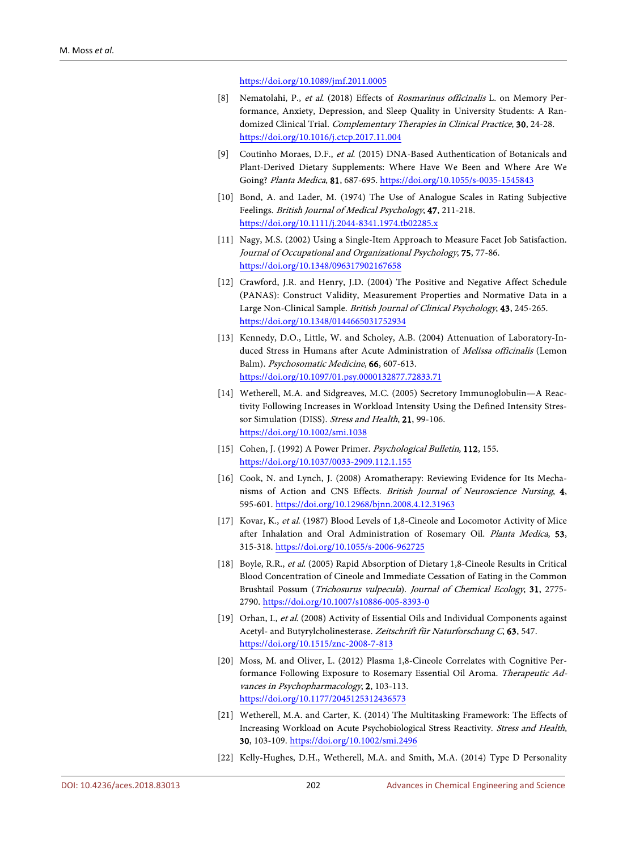<https://doi.org/10.1089/jmf.2011.0005>

- <span id="page-12-0"></span>[8] Nematolahi, P., et al. (2018) Effects of Rosmarinus officinalis L. on Memory Performance, Anxiety, Depression, and Sleep Quality in University Students: A Randomized Clinical Trial. Complementary Therapies in Clinical Practice, 30, 24-28. <https://doi.org/10.1016/j.ctcp.2017.11.004>
- <span id="page-12-1"></span>[9] Coutinho Moraes, D.F., et al. (2015) DNA-Based Authentication of Botanicals and Plant-Derived Dietary Supplements: Where Have We Been and Where Are We Going? Planta Medica, 81, 687-695. <https://doi.org/10.1055/s-0035-1545843>
- <span id="page-12-2"></span>[10] Bond, A. and Lader, M. (1974) The Use of Analogue Scales in Rating Subjective Feelings. British Journal of Medical Psychology, 47, 211-218. <https://doi.org/10.1111/j.2044-8341.1974.tb02285.x>
- <span id="page-12-3"></span>[11] Nagy, M.S. (2002) Using a Single-Item Approach to Measure Facet Job Satisfaction. Journal of Occupational and Organizational Psychology, 75, 77-86. <https://doi.org/10.1348/096317902167658>
- <span id="page-12-4"></span>[12] Crawford, J.R. and Henry, J.D. (2004) The Positive and Negative Affect Schedule (PANAS): Construct Validity, Measurement Properties and Normative Data in a Large Non-Clinical Sample. British Journal of Clinical Psychology, 43, 245-265. <https://doi.org/10.1348/0144665031752934>
- <span id="page-12-5"></span>[13] Kennedy, D.O., Little, W. and Scholey, A.B. (2004) Attenuation of Laboratory-Induced Stress in Humans after Acute Administration of Melissa officinalis (Lemon Balm). Psychosomatic Medicine, 66, 607-613. <https://doi.org/10.1097/01.psy.0000132877.72833.71>
- <span id="page-12-6"></span>[14] Wetherell, M.A. and Sidgreaves, M.C. (2005) Secretory Immunoglobulin—A Reactivity Following Increases in Workload Intensity Using the Defined Intensity Stressor Simulation (DISS). Stress and Health, 21, 99-106. <https://doi.org/10.1002/smi.1038>
- <span id="page-12-7"></span>[15] Cohen, J. (1992) A Power Primer. Psychological Bulletin, 112, 155. <https://doi.org/10.1037/0033-2909.112.1.155>
- <span id="page-12-8"></span>[16] Cook, N. and Lynch, J. (2008) Aromatherapy: Reviewing Evidence for Its Mechanisms of Action and CNS Effects. British Journal of Neuroscience Nursing, 4, 595-601. <https://doi.org/10.12968/bjnn.2008.4.12.31963>
- <span id="page-12-9"></span>[17] Kovar, K., et al. (1987) Blood Levels of 1,8-Cineole and Locomotor Activity of Mice after Inhalation and Oral Administration of Rosemary Oil. Planta Medica, 53, 315-318. <https://doi.org/10.1055/s-2006-962725>
- <span id="page-12-10"></span>[18] Boyle, R.R., et al. (2005) Rapid Absorption of Dietary 1,8-Cineole Results in Critical Blood Concentration of Cineole and Immediate Cessation of Eating in the Common Brushtail Possum (Trichosurus vulpecula). Journal of Chemical Ecology, 31, 2775- 2790. <https://doi.org/10.1007/s10886-005-8393-0>
- <span id="page-12-11"></span>[19] Orhan, I., et al. (2008) Activity of Essential Oils and Individual Components against Acetyl- and Butyrylcholinesterase. Zeitschrift für Naturforschung C, 63, 547. <https://doi.org/10.1515/znc-2008-7-813>
- <span id="page-12-12"></span>[20] Moss, M. and Oliver, L. (2012) Plasma 1,8-Cineole Correlates with Cognitive Performance Following Exposure to Rosemary Essential Oil Aroma. Therapeutic Advances in Psychopharmacology, 2, 103-113. <https://doi.org/10.1177/2045125312436573>
- <span id="page-12-13"></span>[21] Wetherell, M.A. and Carter, K. (2014) The Multitasking Framework: The Effects of Increasing Workload on Acute Psychobiological Stress Reactivity. Stress and Health, 30, 103-109. <https://doi.org/10.1002/smi.2496>
- <span id="page-12-14"></span>[22] Kelly-Hughes, D.H., Wetherell, M.A. and Smith, M.A. (2014) Type D Personality